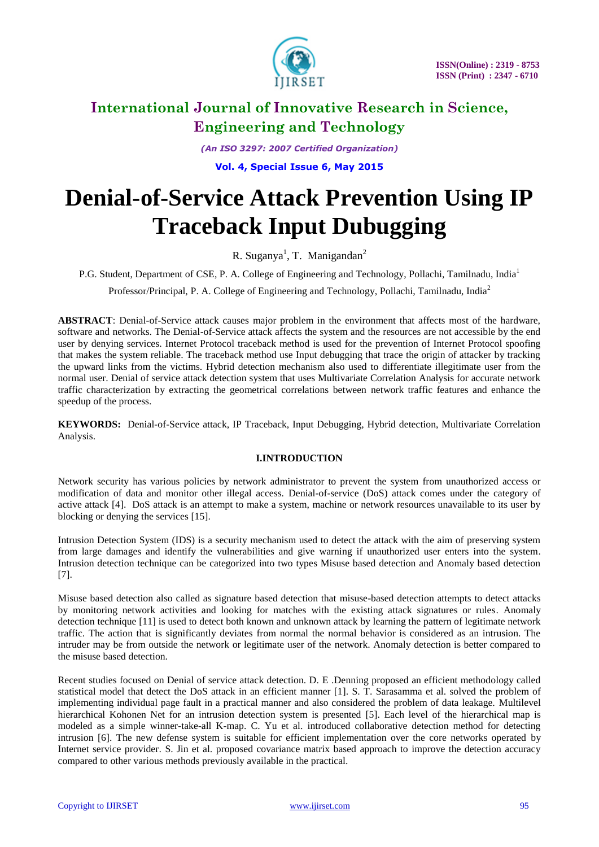

*(An ISO 3297: 2007 Certified Organization)*

**Vol. 4, Special Issue 6, May 2015**

# **Denial-of-Service Attack Prevention Using IP Traceback Input Dubugging**

R. Suganya<sup>1</sup>, T. Manigandan<sup>2</sup>

P.G. Student, Department of CSE, P. A. College of Engineering and Technology, Pollachi, Tamilnadu, India<sup>1</sup>

Professor/Principal, P. A. College of Engineering and Technology, Pollachi, Tamilnadu, India<sup>2</sup>

**ABSTRACT**: Denial-of-Service attack causes major problem in the environment that affects most of the hardware, software and networks. The Denial-of-Service attack affects the system and the resources are not accessible by the end user by denying services. Internet Protocol traceback method is used for the prevention of Internet Protocol spoofing that makes the system reliable. The traceback method use Input debugging that trace the origin of attacker by tracking the upward links from the victims. Hybrid detection mechanism also used to differentiate illegitimate user from the normal user. Denial of service attack detection system that uses Multivariate Correlation Analysis for accurate network traffic characterization by extracting the geometrical correlations between network traffic features and enhance the speedup of the process.

**KEYWORDS:** Denial-of-Service attack, IP Traceback, Input Debugging, Hybrid detection, Multivariate Correlation Analysis.

### **I.INTRODUCTION**

Network security has various policies by network administrator to prevent the system from unauthorized access or modification of data and monitor other illegal access. Denial-of-service (DoS) attack comes under the category of active attack [4]. DoS attack is an attempt to make a system, machine or network resources unavailable to its user by blocking or denying the services [15].

Intrusion Detection System (IDS) is a security mechanism used to detect the attack with the aim of preserving system from large damages and identify the vulnerabilities and give warning if unauthorized user enters into the system. Intrusion detection technique can be categorized into two types Misuse based detection and Anomaly based detection [7].

Misuse based detection also called as signature based detection that misuse-based detection attempts to detect attacks by monitoring network activities and looking for matches with the existing attack signatures or rules. Anomaly detection technique [11] is used to detect both known and unknown attack by learning the pattern of legitimate network traffic. The action that is significantly deviates from normal the normal behavior is considered as an intrusion. The intruder may be from outside the network or legitimate user of the network. Anomaly detection is better compared to the misuse based detection.

Recent studies focused on Denial of service attack detection. D. E .Denning proposed an efficient methodology called statistical model that detect the DoS attack in an efficient manner [1]. S. T. Sarasamma et al. solved the problem of implementing individual page fault in a practical manner and also considered the problem of data leakage. Multilevel hierarchical Kohonen Net for an intrusion detection system is presented [5]. Each level of the hierarchical map is modeled as a simple winner-take-all K-map. C. Yu et al. introduced collaborative detection method for detecting intrusion [6]. The new defense system is suitable for efficient implementation over the core networks operated by Internet service provider. S. Jin et al. proposed covariance matrix based approach to improve the detection accuracy compared to other various methods previously available in the practical.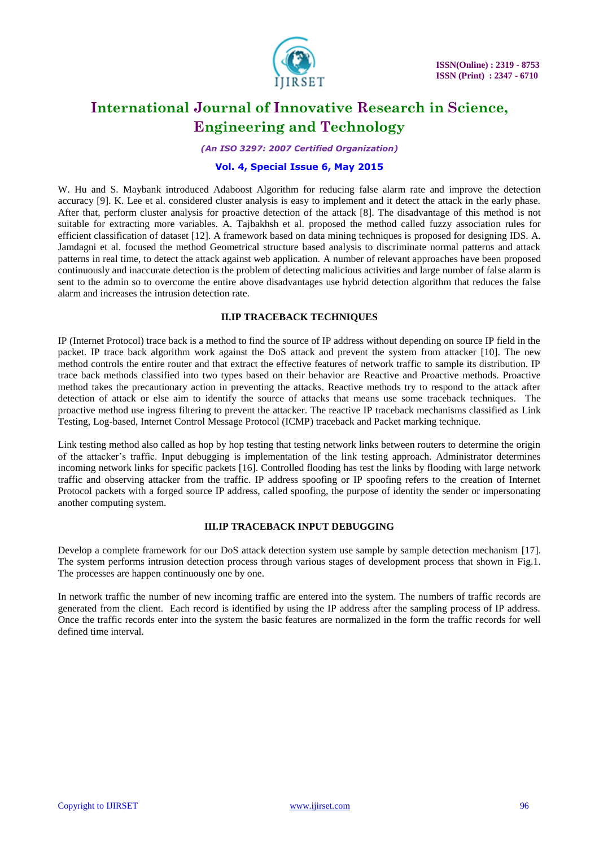

*(An ISO 3297: 2007 Certified Organization)*

#### **Vol. 4, Special Issue 6, May 2015**

W. Hu and S. Maybank introduced Adaboost Algorithm for reducing false alarm rate and improve the detection accuracy [9]. K. Lee et al. considered cluster analysis is easy to implement and it detect the attack in the early phase. After that, perform cluster analysis for proactive detection of the attack [8]. The disadvantage of this method is not suitable for extracting more variables. A. Tajbakhsh et al. proposed the method called fuzzy association rules for efficient classification of dataset [12]. A framework based on data mining techniques is proposed for designing IDS. A. Jamdagni et al. focused the method Geometrical structure based analysis to discriminate normal patterns and attack patterns in real time, to detect the attack against web application. A number of relevant approaches have been proposed continuously and inaccurate detection is the problem of detecting malicious activities and large number of false alarm is sent to the admin so to overcome the entire above disadvantages use hybrid detection algorithm that reduces the false alarm and increases the intrusion detection rate.

#### **II.IP TRACEBACK TECHNIQUES**

IP (Internet Protocol) trace back is a method to find the source of IP address without depending on source IP field in the packet. IP trace back algorithm work against the DoS attack and prevent the system from attacker [10]. The new method controls the entire router and that extract the effective features of network traffic to sample its distribution. IP trace back methods classified into two types based on their behavior are Reactive and Proactive methods. Proactive method takes the precautionary action in preventing the attacks. Reactive methods try to respond to the attack after detection of attack or else aim to identify the source of attacks that means use some traceback techniques. The proactive method use ingress filtering to prevent the attacker. The reactive IP traceback mechanisms classified as Link Testing, Log-based, Internet Control Message Protocol (ICMP) traceback and Packet marking technique.

Link testing method also called as hop by hop testing that testing network links between routers to determine the origin of the attacker's traffic. Input debugging is implementation of the link testing approach. Administrator determines incoming network links for specific packets [16]. Controlled flooding has test the links by flooding with large network traffic and observing attacker from the traffic. IP address spoofing or IP spoofing refers to the creation of Internet Protocol packets with a forged source IP address, called spoofing, the purpose of identity the sender or impersonating another computing system.

### **III.IP TRACEBACK INPUT DEBUGGING**

Develop a complete framework for our DoS attack detection system use sample by sample detection mechanism [17]. The system performs intrusion detection process through various stages of development process that shown in Fig.1. The processes are happen continuously one by one.

In network traffic the number of new incoming traffic are entered into the system. The numbers of traffic records are generated from the client. Each record is identified by using the IP address after the sampling process of IP address. Once the traffic records enter into the system the basic features are normalized in the form the traffic records for well defined time interval.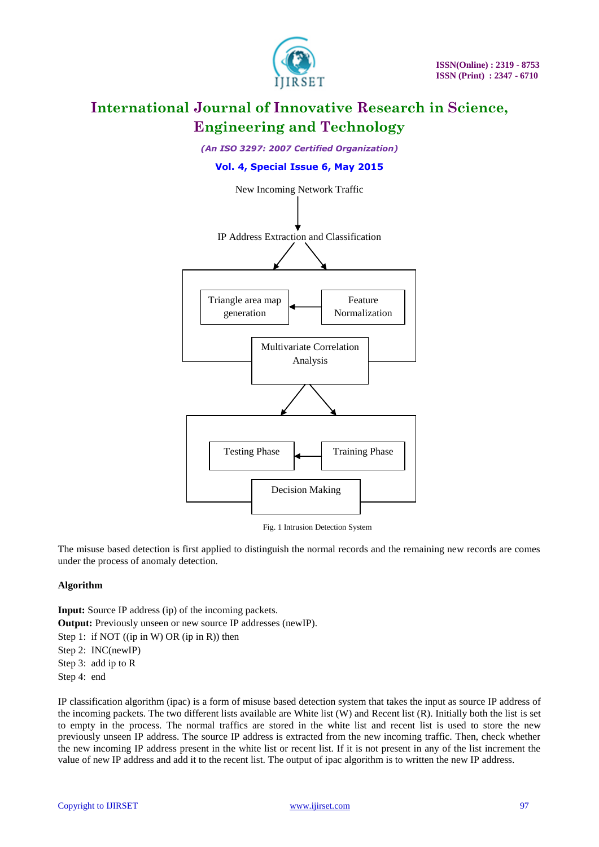

*(An ISO 3297: 2007 Certified Organization)*

### **Vol. 4, Special Issue 6, May 2015**



Fig. 1 Intrusion Detection System

The misuse based detection is first applied to distinguish the normal records and the remaining new records are comes under the process of anomaly detection.

#### **Algorithm**

**Input:** Source IP address (ip) of the incoming packets. **Output:** Previously unseen or new source IP addresses (newIP). Step 1: if NOT ((ip in W) OR (ip in R)) then Step 2: INC(newIP) Step 3: add ip to R Step 4: end

IP classification algorithm (ipac) is a form of misuse based detection system that takes the input as source IP address of the incoming packets. The two different lists available are White list (W) and Recent list (R). Initially both the list is set to empty in the process. The normal traffics are stored in the white list and recent list is used to store the new previously unseen IP address. The source IP address is extracted from the new incoming traffic. Then, check whether the new incoming IP address present in the white list or recent list. If it is not present in any of the list increment the value of new IP address and add it to the recent list. The output of ipac algorithm is to written the new IP address.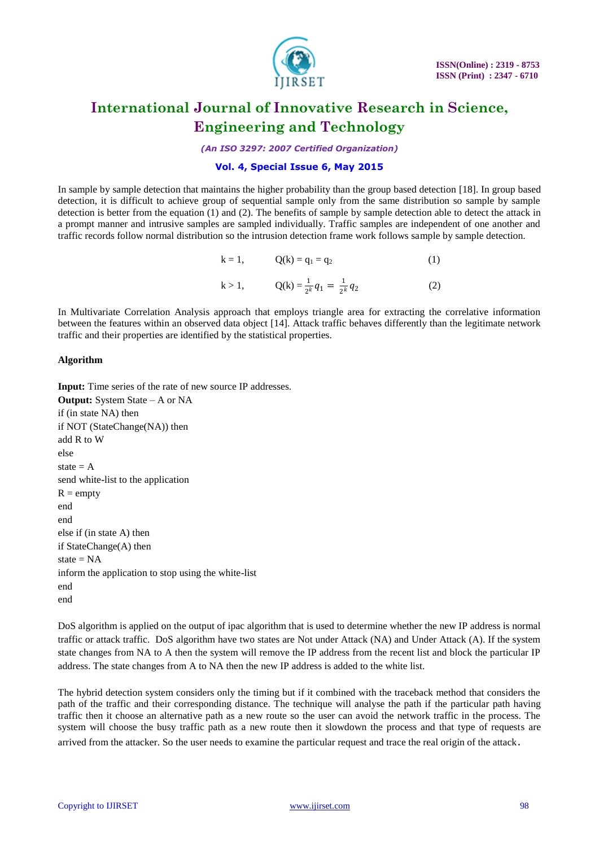

*(An ISO 3297: 2007 Certified Organization)*

### **Vol. 4, Special Issue 6, May 2015**

In sample by sample detection that maintains the higher probability than the group based detection [18]. In group based detection, it is difficult to achieve group of sequential sample only from the same distribution so sample by sample detection is better from the equation (1) and (2). The benefits of sample by sample detection able to detect the attack in a prompt manner and intrusive samples are sampled individually. Traffic samples are independent of one another and traffic records follow normal distribution so the intrusion detection frame work follows sample by sample detection.

k = 1, 
$$
Q(k) = q_1 = q_2
$$
 (1)  
k > 1,  $Q(k) = \frac{1}{2^k} q_1 = \frac{1}{2^k} q_2$  (2)

In Multivariate Correlation Analysis approach that employs triangle area for extracting the correlative information between the features within an observed data object [14]. Attack traffic behaves differently than the legitimate network traffic and their properties are identified by the statistical properties.

#### **Algorithm**

**Input:** Time series of the rate of new source IP addresses. **Output:** System State – A or NA if (in state NA) then if NOT (StateChange(NA)) then add R to W else state  $= A$ send white-list to the application  $R =$ empty end end else if (in state A) then if StateChange(A) then state  $= NA$ inform the application to stop using the white-list end end

DoS algorithm is applied on the output of ipac algorithm that is used to determine whether the new IP address is normal traffic or attack traffic. DoS algorithm have two states are Not under Attack (NA) and Under Attack (A). If the system state changes from NA to A then the system will remove the IP address from the recent list and block the particular IP address. The state changes from A to NA then the new IP address is added to the white list.

The hybrid detection system considers only the timing but if it combined with the traceback method that considers the path of the traffic and their corresponding distance. The technique will analyse the path if the particular path having traffic then it choose an alternative path as a new route so the user can avoid the network traffic in the process. The system will choose the busy traffic path as a new route then it slowdown the process and that type of requests are arrived from the attacker. So the user needs to examine the particular request and trace the real origin of the attack.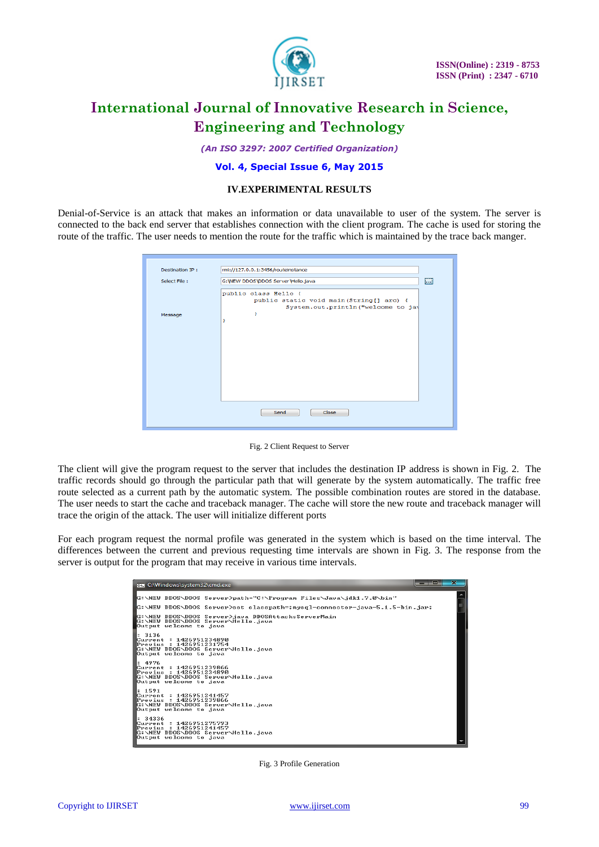

*(An ISO 3297: 2007 Certified Organization)*

#### **Vol. 4, Special Issue 6, May 2015**

#### **IV.EXPERIMENTAL RESULTS**

Denial-of-Service is an attack that makes an information or data unavailable to user of the system. The server is connected to the back end server that establishes connection with the client program. The cache is used for storing the route of the traffic. The user needs to mention the route for the traffic which is maintained by the trace back manger.

| Destination IP: | rmi://127.0.0.1:3456/routeinstance                               |                           |
|-----------------|------------------------------------------------------------------|---------------------------|
|                 |                                                                  | <b>SERVICE</b>            |
| Select File:    | G: WEW DDOS DDOS Server VHello.java                              | $\left\  \ldots \right\ $ |
|                 | public class Hello {<br>public static void main (String[] arc) { |                           |
|                 | System.out.println("welcome to jay<br>ъ                          |                           |
| Message         | ŀ                                                                |                           |
|                 |                                                                  |                           |
|                 |                                                                  |                           |
|                 |                                                                  |                           |
|                 |                                                                  |                           |
|                 |                                                                  |                           |
|                 |                                                                  |                           |
|                 |                                                                  |                           |
|                 |                                                                  |                           |
|                 |                                                                  |                           |
|                 |                                                                  |                           |
|                 |                                                                  |                           |
|                 | Close<br>Send                                                    |                           |
|                 |                                                                  |                           |
|                 |                                                                  |                           |

Fig. 2 Client Request to Server

The client will give the program request to the server that includes the destination IP address is shown in Fig. 2. The traffic records should go through the particular path that will generate by the system automatically. The traffic free route selected as a current path by the automatic system. The possible combination routes are stored in the database. The user needs to start the cache and traceback manager. The cache will store the new route and traceback manager will trace the origin of the attack. The user will initialize different ports

For each program request the normal profile was generated in the system which is based on the time interval. The differences between the current and previous requesting time intervals are shown in Fig. 3. The response from the server is output for the program that may receive in various time intervals.



Fig. 3 Profile Generation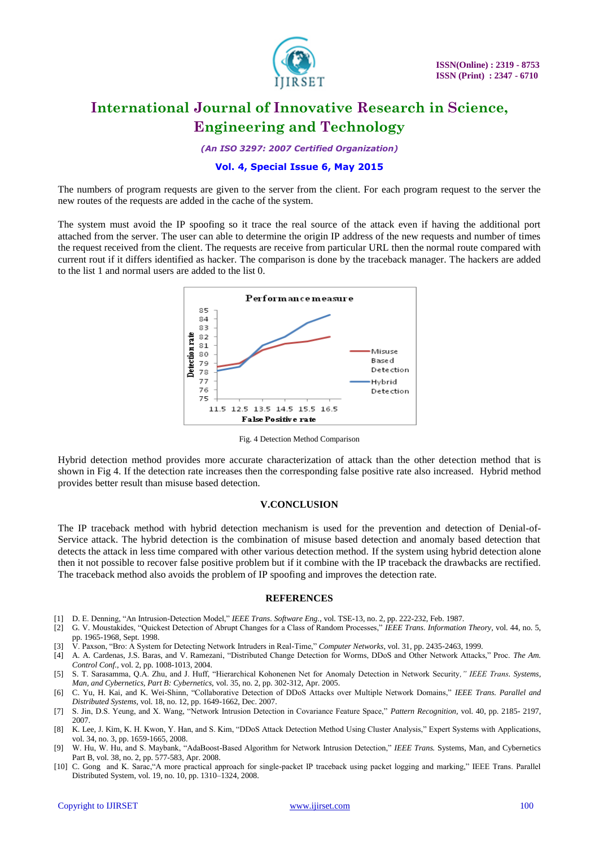

*(An ISO 3297: 2007 Certified Organization)*

#### **Vol. 4, Special Issue 6, May 2015**

The numbers of program requests are given to the server from the client. For each program request to the server the new routes of the requests are added in the cache of the system.

The system must avoid the IP spoofing so it trace the real source of the attack even if having the additional port attached from the server. The user can able to determine the origin IP address of the new requests and number of times the request received from the client. The requests are receive from particular URL then the normal route compared with current rout if it differs identified as hacker. The comparison is done by the traceback manager. The hackers are added to the list 1 and normal users are added to the list 0.



Fig. 4 Detection Method Comparison

Hybrid detection method provides more accurate characterization of attack than the other detection method that is shown in Fig 4. If the detection rate increases then the corresponding false positive rate also increased. Hybrid method provides better result than misuse based detection.

#### **V.CONCLUSION**

The IP traceback method with hybrid detection mechanism is used for the prevention and detection of Denial-of-Service attack. The hybrid detection is the combination of misuse based detection and anomaly based detection that detects the attack in less time compared with other various detection method. If the system using hybrid detection alone then it not possible to recover false positive problem but if it combine with the IP traceback the drawbacks are rectified. The traceback method also avoids the problem of IP spoofing and improves the detection rate.

#### **REFERENCES**

- [1] D. E. Denning, "An Intrusion-Detection Model," *IEEE Trans. Software Eng.*, vol. TSE-13, no. 2, pp. 222-232, Feb. 1987.
- [2] G. V. Moustakides, "Quickest Detection of Abrupt Changes for a Class of Random Processes," *IEEE Trans. Information Theory,* vol. 44, no. 5, pp. 1965-1968, Sept. 1998.
- [3] V. Paxson, "Bro: A System for Detecting Network Intruders in Real-Time," *Computer Networks*, vol. 31, pp. 2435-2463, 1999.
- [4] A. A. Cardenas, J.S. Baras, and V. Ramezani, "Distributed Change Detection for Worms, DDoS and Other Network Attacks," Proc. *The Am. Control Conf.*, vol. 2, pp. 1008-1013, 2004.
- [5] S. T. Sarasamma, Q.A. Zhu, and J. Huff, "Hierarchical Kohonenen Net for Anomaly Detection in Network Security*," IEEE Trans. Systems, Man, and Cybernetics, Part B: Cybernetics,* vol. 35, no. 2, pp. 302-312, Apr. 2005.
- [6] C. Yu, H. Kai, and K. Wei-Shinn, "Collaborative Detection of DDoS Attacks over Multiple Network Domains," *IEEE Trans. Parallel and Distributed Systems,* vol. 18, no. 12, pp. 1649-1662, Dec. 2007.
- [7] S. Jin, D.S. Yeung, and X. Wang, "Network Intrusion Detection in Covariance Feature Space," *Pattern Recognition,* vol. 40, pp. 2185- 2197, 2007.
- [8] K. Lee, J. Kim, K. H. Kwon, Y. Han, and S. Kim, "DDoS Attack Detection Method Using Cluster Analysis," Expert Systems with Applications, vol. 34, no. 3, pp. 1659-1665, 2008.
- [9] W. Hu, W. Hu, and S. Maybank, "AdaBoost-Based Algorithm for Network Intrusion Detection," *IEEE Trans.* Systems, Man, and Cybernetics Part B, vol. 38, no. 2, pp. 577-583, Apr. 2008.
- [10] C. Gong and K. Sarac,"A more practical approach for single-packet IP traceback using packet logging and marking," IEEE Trans. Parallel Distributed System, vol. 19, no. 10, pp. 1310–1324, 2008.